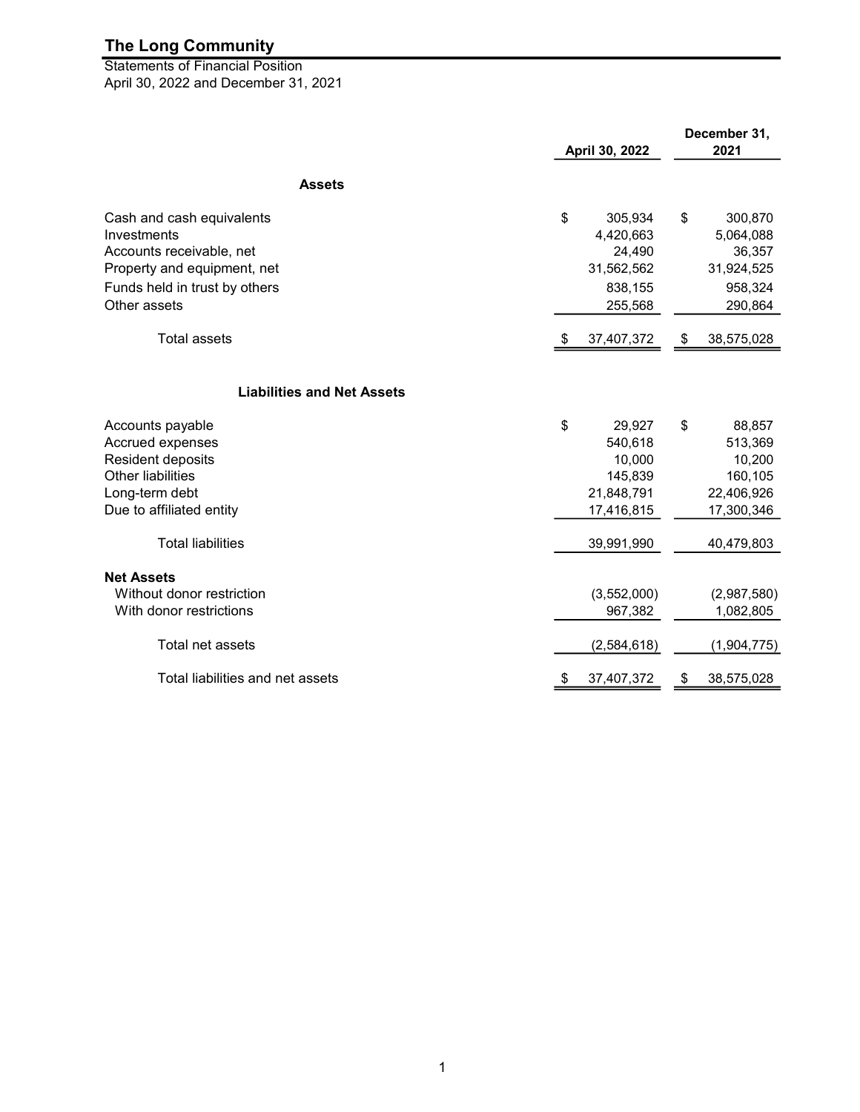April 30, 2022 and December 31, 2021 **Statements of Financial Position** 

| <b>Assets</b><br>\$<br>\$<br>Cash and cash equivalents<br>305,934<br>300,870<br>Investments<br>4,420,663<br>5,064,088<br>Accounts receivable, net<br>24,490<br>36,357<br>Property and equipment, net<br>31,562,562<br>31,924,525<br>Funds held in trust by others<br>838,155<br>958,324<br>Other assets<br>255,568<br>290,864<br><b>Total assets</b><br>37,407,372<br>38,575,028<br>\$<br>\$<br><b>Liabilities and Net Assets</b><br>\$<br>Accounts payable<br>29,927<br>\$<br>88,857<br>Accrued expenses<br>540,618<br>513,369<br>Resident deposits<br>10,000<br>10,200<br><b>Other liabilities</b><br>145,839<br>160,105<br>Long-term debt<br>21,848,791<br>22,406,926<br>Due to affiliated entity<br>17,416,815<br>17,300,346<br><b>Total liabilities</b><br>39,991,990<br>40,479,803<br><b>Net Assets</b><br>Without donor restriction<br>(3,552,000)<br>(2,987,580)<br>With donor restrictions<br>967,382<br>1,082,805<br>Total net assets<br>(2,584,618)<br>(1,904,775)<br>Total liabilities and net assets<br>37,407,372<br>38,575,028<br>\$<br>\$ |  | April 30, 2022 |  | December 31,<br>2021 |  |
|-----------------------------------------------------------------------------------------------------------------------------------------------------------------------------------------------------------------------------------------------------------------------------------------------------------------------------------------------------------------------------------------------------------------------------------------------------------------------------------------------------------------------------------------------------------------------------------------------------------------------------------------------------------------------------------------------------------------------------------------------------------------------------------------------------------------------------------------------------------------------------------------------------------------------------------------------------------------------------------------------------------------------------------------------------------|--|----------------|--|----------------------|--|
|                                                                                                                                                                                                                                                                                                                                                                                                                                                                                                                                                                                                                                                                                                                                                                                                                                                                                                                                                                                                                                                           |  |                |  |                      |  |
|                                                                                                                                                                                                                                                                                                                                                                                                                                                                                                                                                                                                                                                                                                                                                                                                                                                                                                                                                                                                                                                           |  |                |  |                      |  |
|                                                                                                                                                                                                                                                                                                                                                                                                                                                                                                                                                                                                                                                                                                                                                                                                                                                                                                                                                                                                                                                           |  |                |  |                      |  |
|                                                                                                                                                                                                                                                                                                                                                                                                                                                                                                                                                                                                                                                                                                                                                                                                                                                                                                                                                                                                                                                           |  |                |  |                      |  |
|                                                                                                                                                                                                                                                                                                                                                                                                                                                                                                                                                                                                                                                                                                                                                                                                                                                                                                                                                                                                                                                           |  |                |  |                      |  |
|                                                                                                                                                                                                                                                                                                                                                                                                                                                                                                                                                                                                                                                                                                                                                                                                                                                                                                                                                                                                                                                           |  |                |  |                      |  |
|                                                                                                                                                                                                                                                                                                                                                                                                                                                                                                                                                                                                                                                                                                                                                                                                                                                                                                                                                                                                                                                           |  |                |  |                      |  |
|                                                                                                                                                                                                                                                                                                                                                                                                                                                                                                                                                                                                                                                                                                                                                                                                                                                                                                                                                                                                                                                           |  |                |  |                      |  |
|                                                                                                                                                                                                                                                                                                                                                                                                                                                                                                                                                                                                                                                                                                                                                                                                                                                                                                                                                                                                                                                           |  |                |  |                      |  |
|                                                                                                                                                                                                                                                                                                                                                                                                                                                                                                                                                                                                                                                                                                                                                                                                                                                                                                                                                                                                                                                           |  |                |  |                      |  |
|                                                                                                                                                                                                                                                                                                                                                                                                                                                                                                                                                                                                                                                                                                                                                                                                                                                                                                                                                                                                                                                           |  |                |  |                      |  |
|                                                                                                                                                                                                                                                                                                                                                                                                                                                                                                                                                                                                                                                                                                                                                                                                                                                                                                                                                                                                                                                           |  |                |  |                      |  |
|                                                                                                                                                                                                                                                                                                                                                                                                                                                                                                                                                                                                                                                                                                                                                                                                                                                                                                                                                                                                                                                           |  |                |  |                      |  |
|                                                                                                                                                                                                                                                                                                                                                                                                                                                                                                                                                                                                                                                                                                                                                                                                                                                                                                                                                                                                                                                           |  |                |  |                      |  |
|                                                                                                                                                                                                                                                                                                                                                                                                                                                                                                                                                                                                                                                                                                                                                                                                                                                                                                                                                                                                                                                           |  |                |  |                      |  |
|                                                                                                                                                                                                                                                                                                                                                                                                                                                                                                                                                                                                                                                                                                                                                                                                                                                                                                                                                                                                                                                           |  |                |  |                      |  |
|                                                                                                                                                                                                                                                                                                                                                                                                                                                                                                                                                                                                                                                                                                                                                                                                                                                                                                                                                                                                                                                           |  |                |  |                      |  |
|                                                                                                                                                                                                                                                                                                                                                                                                                                                                                                                                                                                                                                                                                                                                                                                                                                                                                                                                                                                                                                                           |  |                |  |                      |  |
|                                                                                                                                                                                                                                                                                                                                                                                                                                                                                                                                                                                                                                                                                                                                                                                                                                                                                                                                                                                                                                                           |  |                |  |                      |  |
|                                                                                                                                                                                                                                                                                                                                                                                                                                                                                                                                                                                                                                                                                                                                                                                                                                                                                                                                                                                                                                                           |  |                |  |                      |  |
|                                                                                                                                                                                                                                                                                                                                                                                                                                                                                                                                                                                                                                                                                                                                                                                                                                                                                                                                                                                                                                                           |  |                |  |                      |  |
|                                                                                                                                                                                                                                                                                                                                                                                                                                                                                                                                                                                                                                                                                                                                                                                                                                                                                                                                                                                                                                                           |  |                |  |                      |  |
|                                                                                                                                                                                                                                                                                                                                                                                                                                                                                                                                                                                                                                                                                                                                                                                                                                                                                                                                                                                                                                                           |  |                |  |                      |  |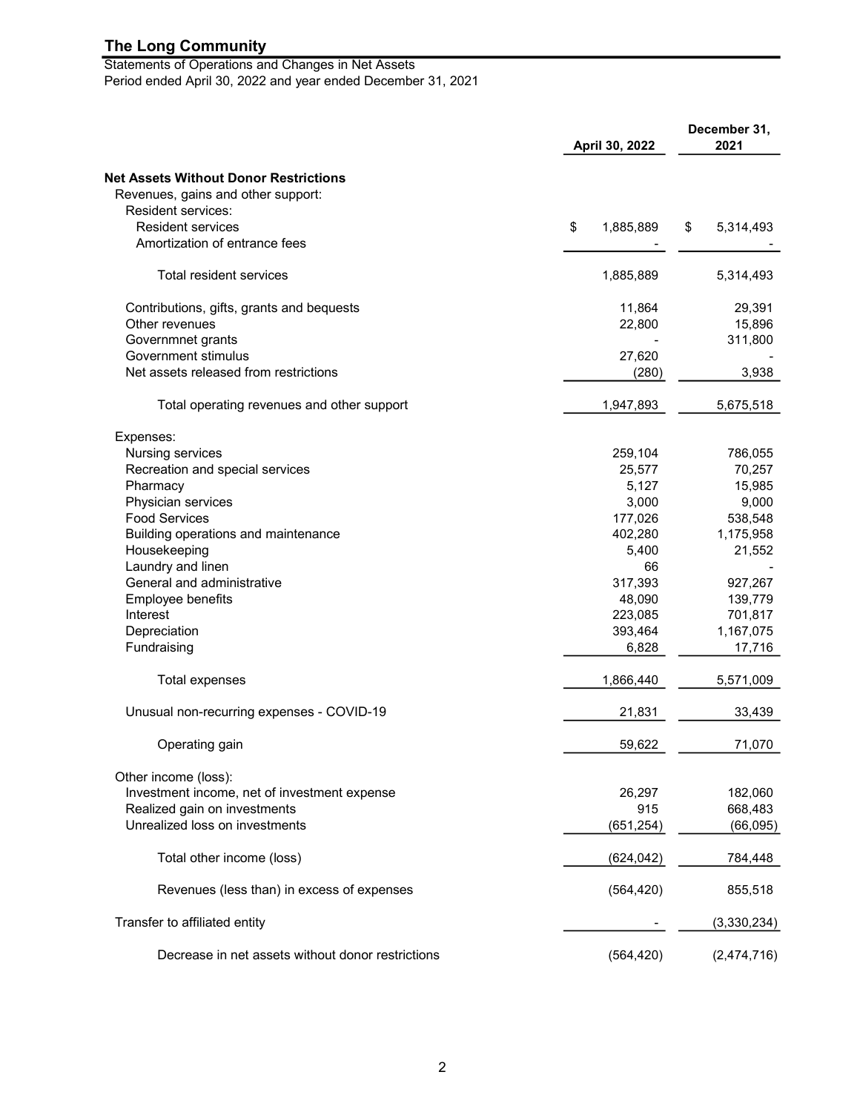Statements of Operations and Changes in Net Assets Period ended April 30, 2022 and year ended December 31, 2021

|                                                   |    | April 30, 2022 |    | December 31,<br>2021 |  |
|---------------------------------------------------|----|----------------|----|----------------------|--|
| <b>Net Assets Without Donor Restrictions</b>      |    |                |    |                      |  |
| Revenues, gains and other support:                |    |                |    |                      |  |
| <b>Resident services:</b>                         |    |                |    |                      |  |
| <b>Resident services</b>                          | \$ | 1,885,889      | \$ | 5,314,493            |  |
| Amortization of entrance fees                     |    |                |    |                      |  |
| Total resident services                           |    | 1,885,889      |    | 5,314,493            |  |
| Contributions, gifts, grants and bequests         |    | 11,864         |    | 29,391               |  |
| Other revenues                                    |    | 22,800         |    | 15,896               |  |
| Governmnet grants                                 |    |                |    | 311,800              |  |
| Government stimulus                               |    | 27,620         |    |                      |  |
| Net assets released from restrictions             |    | (280)          |    | 3,938                |  |
| Total operating revenues and other support        |    | 1,947,893      |    | 5,675,518            |  |
| Expenses:                                         |    |                |    |                      |  |
| Nursing services                                  |    | 259,104        |    | 786,055              |  |
| Recreation and special services                   |    | 25,577         |    | 70,257               |  |
| Pharmacy                                          |    | 5,127          |    | 15,985               |  |
| Physician services                                |    | 3,000          |    | 9,000                |  |
| <b>Food Services</b>                              |    | 177,026        |    | 538,548              |  |
| Building operations and maintenance               |    | 402,280        |    | 1,175,958            |  |
| Housekeeping                                      |    | 5,400          |    | 21,552               |  |
| Laundry and linen                                 |    | 66             |    |                      |  |
| General and administrative                        |    | 317,393        |    | 927,267              |  |
| Employee benefits                                 |    | 48,090         |    | 139,779              |  |
| Interest                                          |    | 223,085        |    | 701,817              |  |
| Depreciation                                      |    | 393,464        |    | 1,167,075            |  |
| Fundraising                                       |    | 6,828          |    | 17,716               |  |
| Total expenses                                    |    | 1,866,440      |    | 5,571,009            |  |
| Unusual non-recurring expenses - COVID-19         |    | 21,831         |    | 33,439               |  |
| Operating gain                                    |    | 59.622         |    | 71.070               |  |
| Other income (loss):                              |    |                |    |                      |  |
| Investment income, net of investment expense      |    | 26,297         |    | 182,060              |  |
| Realized gain on investments                      |    | 915            |    | 668,483              |  |
| Unrealized loss on investments                    |    | (651, 254)     |    | (66, 095)            |  |
| Total other income (loss)                         |    | (624, 042)     |    | 784,448              |  |
| Revenues (less than) in excess of expenses        |    | (564, 420)     |    | 855,518              |  |
| Transfer to affiliated entity                     |    |                |    | (3,330,234)          |  |
| Decrease in net assets without donor restrictions |    | (564, 420)     |    | (2,474,716)          |  |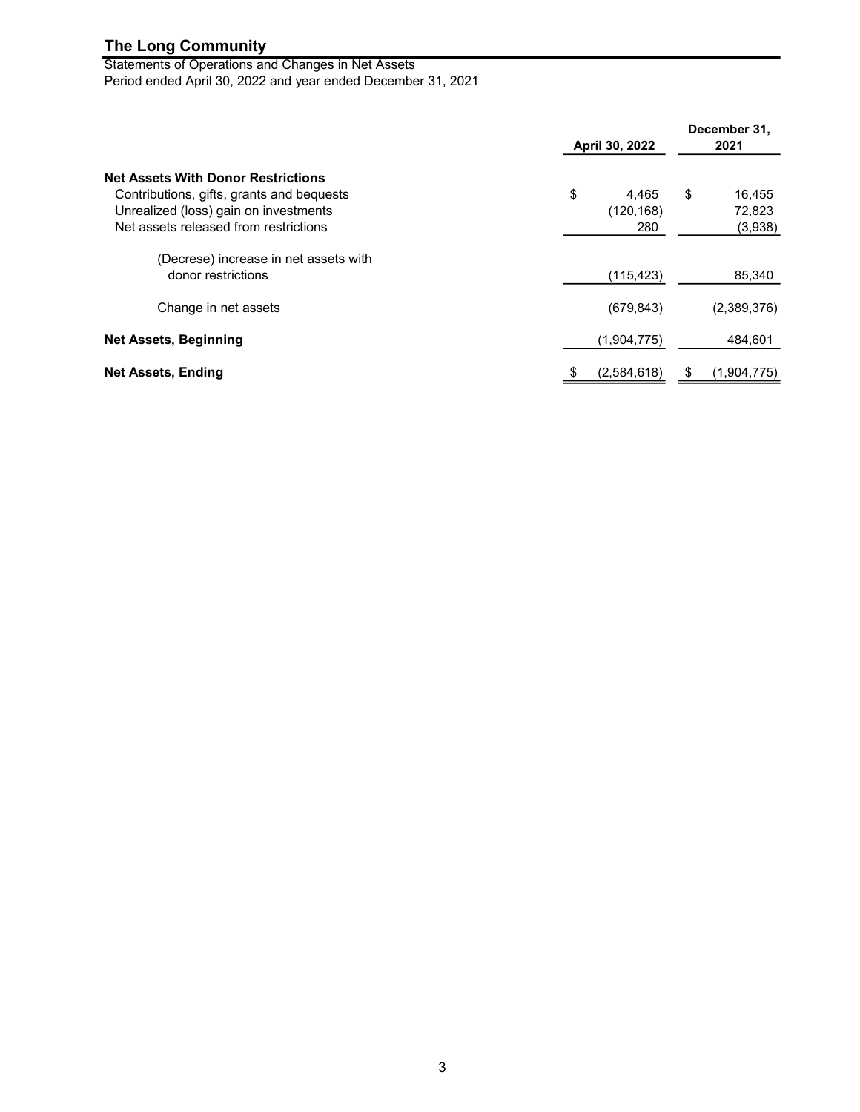Statements of Operations and Changes in Net Assets Period ended April 30, 2022 and year ended December 31, 2021

|                                                                                                                                                                          | April 30, 2022                   | December 31,<br>2021              |
|--------------------------------------------------------------------------------------------------------------------------------------------------------------------------|----------------------------------|-----------------------------------|
| <b>Net Assets With Donor Restrictions</b><br>Contributions, gifts, grants and bequests<br>Unrealized (loss) gain on investments<br>Net assets released from restrictions | \$<br>4,465<br>(120, 168)<br>280 | \$<br>16,455<br>72,823<br>(3,938) |
| (Decrese) increase in net assets with<br>donor restrictions                                                                                                              | (115, 423)                       | 85,340                            |
| Change in net assets                                                                                                                                                     | (679, 843)                       | (2,389,376)                       |
| <b>Net Assets, Beginning</b>                                                                                                                                             | (1,904,775)                      | 484,601                           |
| <b>Net Assets, Ending</b>                                                                                                                                                | (2,584,618)<br>- \$              | (1,904,775)                       |